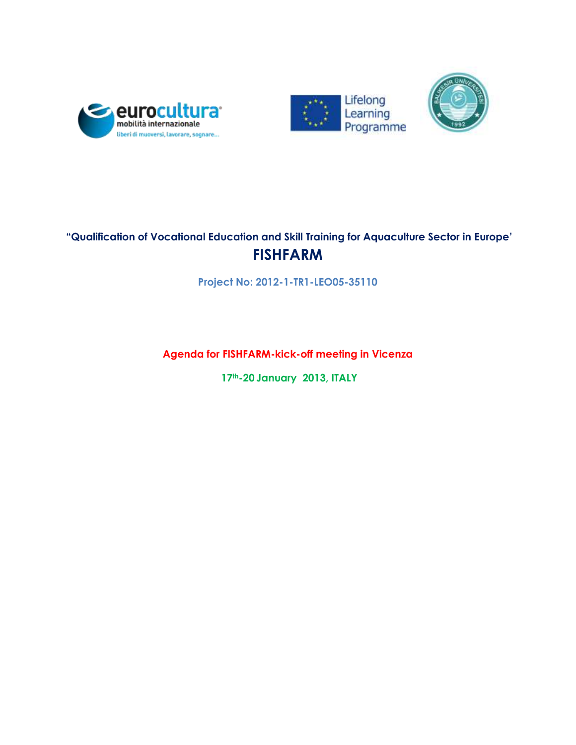





# **"Qualification of Vocational Education and Skill Training for Aquaculture Sector in Europe' FISHFARM**

**Project No: 2012-1-TR1-LEO05-35110**

**Agenda for FISHFARM-kick-off meeting in Vicenza**

**17th-20 January 2013, ITALY**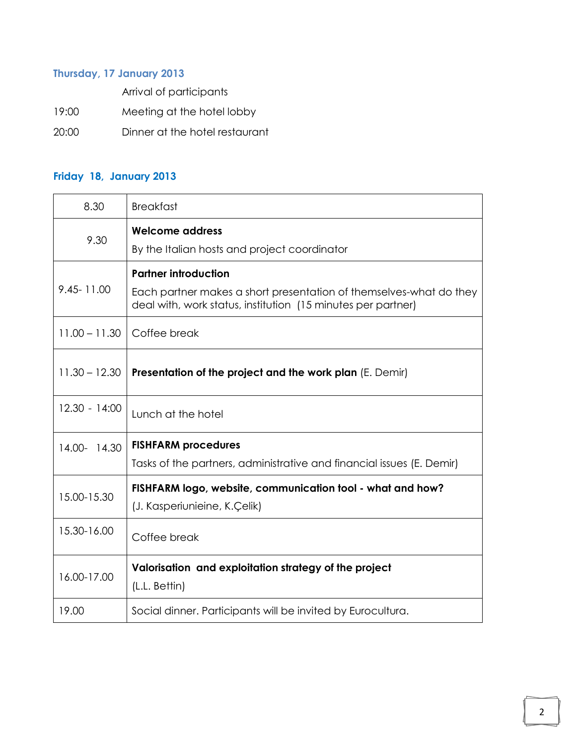## **Thursday, 17 January 2013**

Arrival of participants

19:00 Meeting at the hotel lobby

20:00 Dinner at the hotel restaurant

### **Friday 18, January 2013**

| 8.30            | <b>Breakfast</b>                                                                                    |
|-----------------|-----------------------------------------------------------------------------------------------------|
| 9.30            | Welcome address<br>By the Italian hosts and project coordinator                                     |
| 9.45-11.00      | <b>Partner introduction</b><br>Each partner makes a short presentation of themselves-what do they   |
| $11.00 - 11.30$ | deal with, work status, institution (15 minutes per partner)<br>Coffee break                        |
| $11.30 - 12.30$ | Presentation of the project and the work plan (E. Demir)                                            |
| $12.30 - 14:00$ | Lunch at the hotel                                                                                  |
| 14.00- 14.30    | <b>FISHFARM procedures</b><br>Tasks of the partners, administrative and financial issues (E. Demir) |
| 15.00-15.30     | FISHFARM logo, website, communication tool - what and how?<br>(J. Kasperiunieine, K.Çelik)          |
| 15.30-16.00     | Coffee break                                                                                        |
| 16.00-17.00     | Valorisation and exploitation strategy of the project<br>(L.L. Bettin)                              |
| 19.00           | Social dinner. Participants will be invited by Eurocultura.                                         |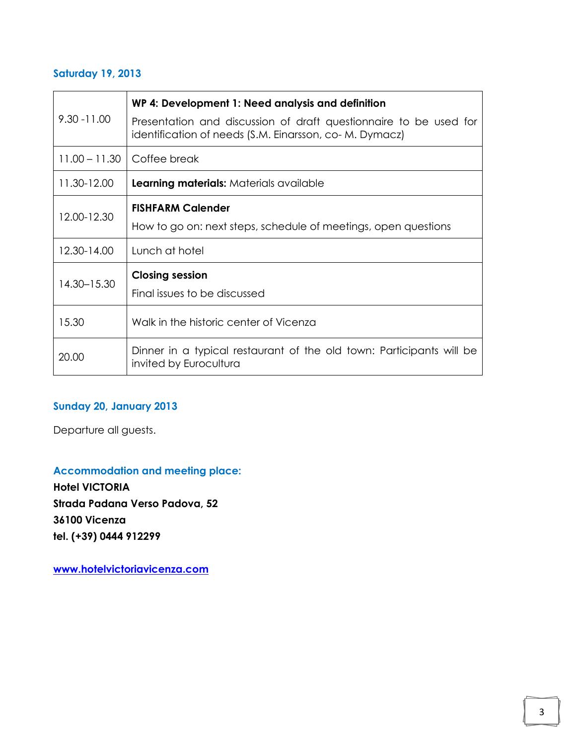#### **Saturday 19, 2013**

| $9.30 - 11.00$  | WP 4: Development 1: Need analysis and definition                                                                            |
|-----------------|------------------------------------------------------------------------------------------------------------------------------|
|                 | Presentation and discussion of draft questionnaire to be used for<br>identification of needs (S.M. Einarsson, co- M. Dymacz) |
| $11.00 - 11.30$ | Coffee break                                                                                                                 |
| 11.30-12.00     | <b>Learning materials: Materials available</b>                                                                               |
| 12.00-12.30     | <b>FISHFARM Calender</b>                                                                                                     |
|                 | How to go on: next steps, schedule of meetings, open questions                                                               |
| 12.30-14.00     | Lunch at hotel                                                                                                               |
| 14.30-15.30     | <b>Closing session</b>                                                                                                       |
|                 | Final issues to be discussed                                                                                                 |
| 15.30           | Walk in the historic center of Vicenza                                                                                       |
| 20.00           | Dinner in a typical restaurant of the old town: Participants will be<br>invited by Eurocultura                               |

## **Sunday 20, January 2013**

Departure all guests.

#### **Accommodation and meeting place:**

**Hotel VICTORIA Strada Padana Verso Padova, 52 36100 Vicenza tel. (+39) 0444 912299**

**[www.hotelvictoriavicenza.com](http://www.hotelvictoriavicenza.com/)**